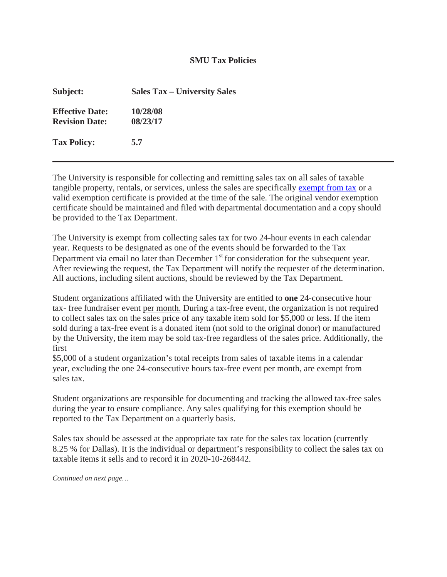## **SMU Tax Policies**

| Subject:                                        | <b>Sales Tax – University Sales</b> |
|-------------------------------------------------|-------------------------------------|
| <b>Effective Date:</b><br><b>Revision Date:</b> | 10/28/08<br>08/23/17                |
| <b>Tax Policy:</b>                              | 5.7                                 |

The University is responsible for collecting and remitting sales tax on all sales of taxable tangible property, rentals, or services, unless the sales are specifically [exempt from tax](http://www.smu.edu/BusinessFinance/OfficeOfBudgetAndFinance/TaxCompliance/SalesTaxExemption) or a valid exemption certificate is provided at the time of the sale. The original vendor exemption certificate should be maintained and filed with departmental documentation and a copy should be provided to the Tax Department.

The University is exempt from collecting sales tax for two 24-hour events in each calendar year. Requests to be designated as one of the events should be forwarded to the Tax Department via email no later than December  $1<sup>st</sup>$  for consideration for the subsequent year. After reviewing the request, the Tax Department will notify the requester of the determination. All auctions, including silent auctions, should be reviewed by the Tax Department.

Student organizations affiliated with the University are entitled to **one** 24-consecutive hour tax- free fundraiser event per month. During a tax-free event, the organization is not required to collect sales tax on the sales price of any taxable item sold for \$5,000 or less. If the item sold during a tax-free event is a donated item (not sold to the original donor) or manufactured by the University, the item may be sold tax-free regardless of the sales price. Additionally, the first

\$5,000 of a student organization's total receipts from sales of taxable items in a calendar year, excluding the one 24-consecutive hours tax-free event per month, are exempt from sales tax.

Student organizations are responsible for documenting and tracking the allowed tax-free sales during the year to ensure compliance. Any sales qualifying for this exemption should be reported to the Tax Department on a quarterly basis.

Sales tax should be assessed at the appropriate tax rate for the sales tax location (currently 8.25 % for Dallas). It is the individual or department's responsibility to collect the sales tax on taxable items it sells and to record it in 2020-10-268442.

*Continued on next page…*